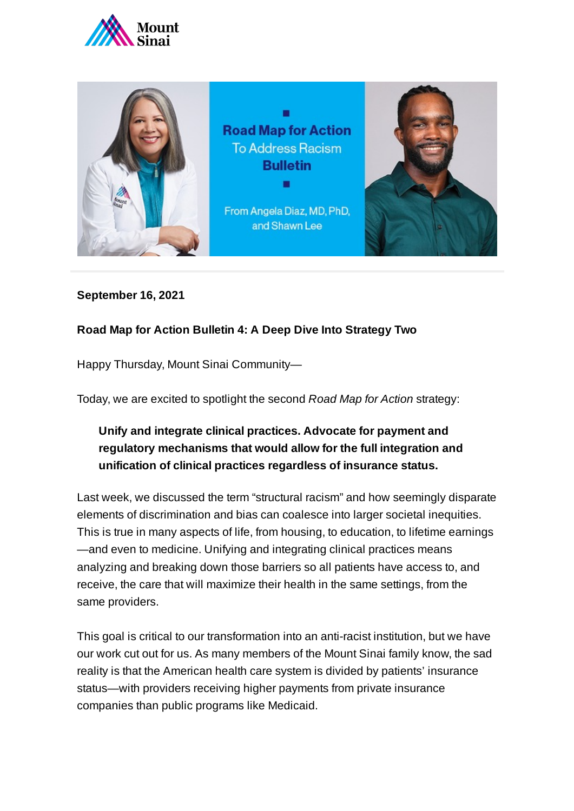



## **September 16, 2021**

## **Road Map for Action Bulletin 4: A Deep Dive Into Strategy Two**

Happy Thursday, Mount Sinai Community—

Today, we are excited to spotlight the second *Road Map for Action* strategy:

## **Unify and integrate clinical practices. Advocate for payment and regulatory mechanisms that would allow for the full integration and unification of clinical practices regardless of insurance status.**

Last week, we discussed the term "structural racism" and how seemingly disparate elements of discrimination and bias can coalesce into larger societal inequities. This is true in many aspects of life, from housing, to education, to lifetime earnings —and even to medicine. Unifying and integrating clinical practices means analyzing and breaking down those barriers so all patients have access to, and receive, the care that will maximize their health in the same settings, from the same providers.

This goal is critical to our transformation into an anti-racist institution, but we have our work cut out for us. As many members of the Mount Sinai family know, the sad reality is that the American health care system is divided by patients' insurance status—with providers receiving higher payments from private insurance companies than public programs like Medicaid.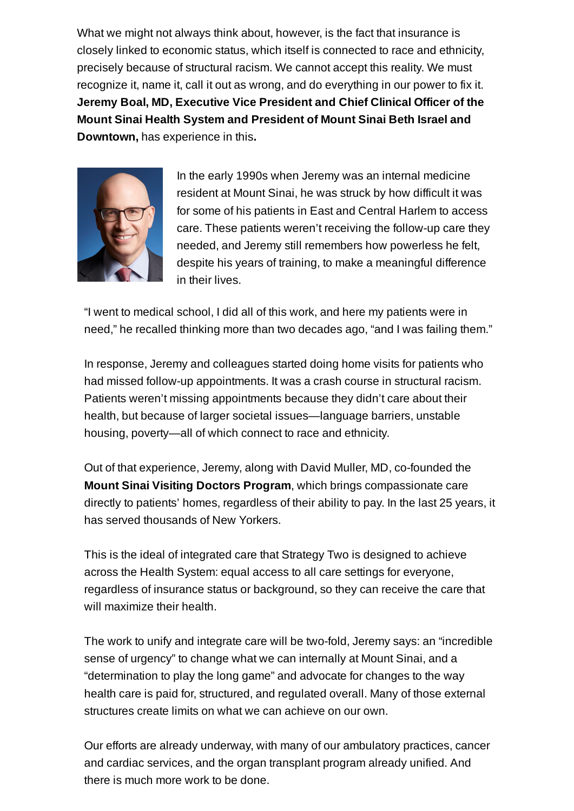What we might not always think about, however, is the fact that insurance is closely linked to economic status, which itself is connected to race and ethnicity, precisely because of structural racism. We cannot accept this reality. We must recognize it, name it, call it out as wrong, and do everything in our power to fix it. **Jeremy Boal, MD, Executive Vice President and Chief Clinical Officer of the Mount Sinai Health System and President of Mount Sinai Beth Israel and Downtown,** has experience in this**.**



In the early 1990s when Jeremy was an internal medicine resident at Mount Sinai, he was struck by how difficult it was for some of his patients in East and Central Harlem to access care. These patients weren't receiving the follow-up care they needed, and Jeremy still remembers how powerless he felt, despite his years of training, to make a meaningful difference in their lives.

"I went to medical school, I did all of this work, and here my patients were in need," he recalled thinking more than two decades ago, "and I was failing them."

In response, Jeremy and colleagues started doing home visits for patients who had missed follow-up appointments. It was a crash course in structural racism. Patients weren't missing appointments because they didn't care about their health, but because of larger societal issues—language barriers, unstable housing, poverty—all of which connect to race and ethnicity.

Out of that experience, Jeremy, along with David Muller, MD, co-founded the **Mount Sinai Visiting Doctors Program**, which brings compassionate care directly to patients' homes, regardless of their ability to pay. In the last 25 years, it has served thousands of New Yorkers.

This is the ideal of integrated care that Strategy Two is designed to achieve across the Health System: equal access to all care settings for everyone, regardless of insurance status or background, so they can receive the care that will maximize their health.

The work to unify and integrate care will be two-fold, Jeremy says: an "incredible sense of urgency" to change what we can internally at Mount Sinai, and a "determination to play the long game" and advocate for changes to the way health care is paid for, structured, and regulated overall. Many of those external structures create limits on what we can achieve on our own.

Our efforts are already underway, with many of our ambulatory practices, cancer and cardiac services, and the organ transplant program already unified. And there is much more work to be done.